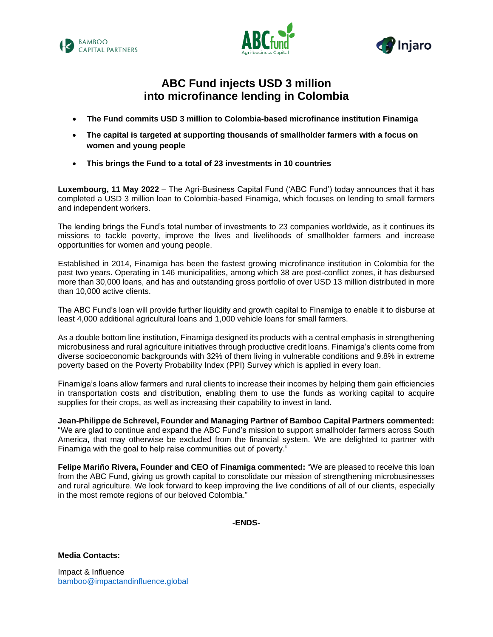





# **ABC Fund injects USD 3 million into microfinance lending in Colombia**

- **The Fund commits USD 3 million to Colombia-based microfinance institution Finamiga**
- **The capital is targeted at supporting thousands of smallholder farmers with a focus on women and young people**
- **This brings the Fund to a total of 23 investments in 10 countries**

**Luxembourg, 11 May 2022** – The Agri-Business Capital Fund ('ABC Fund') today announces that it has completed a USD 3 million loan to Colombia-based Finamiga, which focuses on lending to small farmers and independent workers.

The lending brings the Fund's total number of investments to 23 companies worldwide, as it continues its missions to tackle poverty, improve the lives and livelihoods of smallholder farmers and increase opportunities for women and young people.

Established in 2014, Finamiga has been the fastest growing microfinance institution in Colombia for the past two years. Operating in 146 municipalities, among which 38 are post-conflict zones, it has disbursed more than 30,000 loans, and has and outstanding gross portfolio of over USD 13 million distributed in more than 10,000 active clients.

The ABC Fund's loan will provide further liquidity and growth capital to Finamiga to enable it to disburse at least 4,000 additional agricultural loans and 1,000 vehicle loans for small farmers.

As a double bottom line institution, Finamiga designed its products with a central emphasis in strengthening microbusiness and rural agriculture initiatives through productive credit loans. Finamiga's clients come from diverse socioeconomic backgrounds with 32% of them living in vulnerable conditions and 9.8% in extreme poverty based on the Poverty Probability Index (PPI) Survey which is applied in every loan.

Finamiga's loans allow farmers and rural clients to increase their incomes by helping them gain efficiencies in transportation costs and distribution, enabling them to use the funds as working capital to acquire supplies for their crops, as well as increasing their capability to invest in land.

**Jean-Philippe de Schrevel, Founder and Managing Partner of Bamboo Capital Partners commented:** "We are glad to continue and expand the ABC Fund's mission to support smallholder farmers across South America, that may otherwise be excluded from the financial system. We are delighted to partner with Finamiga with the goal to help raise communities out of poverty."

**Felipe Mariño Rivera, Founder and CEO of Finamiga commented:** "We are pleased to receive this loan from the ABC Fund, giving us growth capital to consolidate our mission of strengthening microbusinesses and rural agriculture. We look forward to keep improving the live conditions of all of our clients, especially in the most remote regions of our beloved Colombia."

**-ENDS-**

**Media Contacts:**

Impact & Influence [bamboo@impactandinfluence.global](mailto:bamboo@impactandinfluence.global)